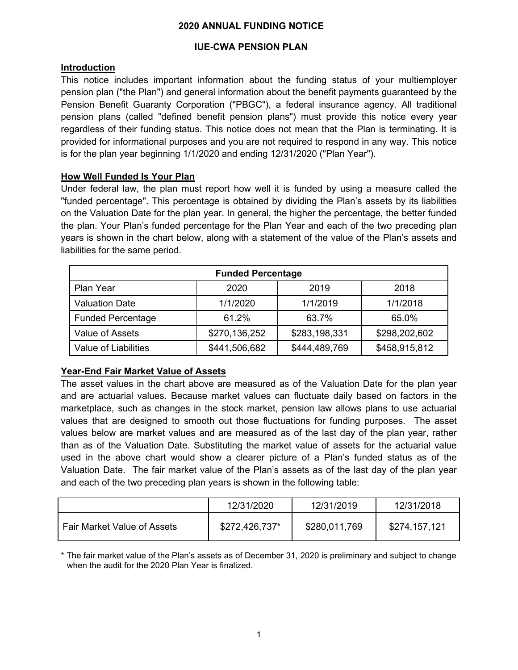#### **2020 ANNUAL FUNDING NOTICE**

# **IUE-CWA PENSION PLAN**

# **Introduction**

This notice includes important information about the funding status of your multiemployer pension plan ("the Plan") and general information about the benefit payments guaranteed by the Pension Benefit Guaranty Corporation ("PBGC"), a federal insurance agency. All traditional pension plans (called "defined benefit pension plans") must provide this notice every year regardless of their funding status. This notice does not mean that the Plan is terminating. It is provided for informational purposes and you are not required to respond in any way. This notice is for the plan year beginning 1/1/2020 and ending 12/31/2020 ("Plan Year").

# **How Well Funded Is Your Plan**

Under federal law, the plan must report how well it is funded by using a measure called the "funded percentage". This percentage is obtained by dividing the Plan's assets by its liabilities on the Valuation Date for the plan year. In general, the higher the percentage, the better funded the plan. Your Plan's funded percentage for the Plan Year and each of the two preceding plan years is shown in the chart below, along with a statement of the value of the Plan's assets and liabilities for the same period.

| <b>Funded Percentage</b> |               |               |               |  |
|--------------------------|---------------|---------------|---------------|--|
| Plan Year                | 2020          | 2019          | 2018          |  |
| <b>Valuation Date</b>    | 1/1/2020      | 1/1/2019      | 1/1/2018      |  |
| <b>Funded Percentage</b> | 61.2%         | 63.7%         | 65.0%         |  |
| Value of Assets          | \$270,136,252 | \$283,198,331 | \$298,202,602 |  |
| Value of Liabilities     | \$441,506,682 | \$444,489,769 | \$458,915,812 |  |

# **Year-End Fair Market Value of Assets**

The asset values in the chart above are measured as of the Valuation Date for the plan year and are actuarial values. Because market values can fluctuate daily based on factors in the marketplace, such as changes in the stock market, pension law allows plans to use actuarial values that are designed to smooth out those fluctuations for funding purposes. The asset values below are market values and are measured as of the last day of the plan year, rather than as of the Valuation Date. Substituting the market value of assets for the actuarial value used in the above chart would show a clearer picture of a Plan's funded status as of the Valuation Date. The fair market value of the Plan's assets as of the last day of the plan year and each of the two preceding plan years is shown in the following table:

|                                    | 12/31/2020     | 12/31/2019    | 12/31/2018    |
|------------------------------------|----------------|---------------|---------------|
| <b>Fair Market Value of Assets</b> | \$272,426,737* | \$280,011,769 | \$274,157,121 |

\* The fair market value of the Plan's assets as of December 31, 2020 is preliminary and subject to change when the audit for the 2020 Plan Year is finalized.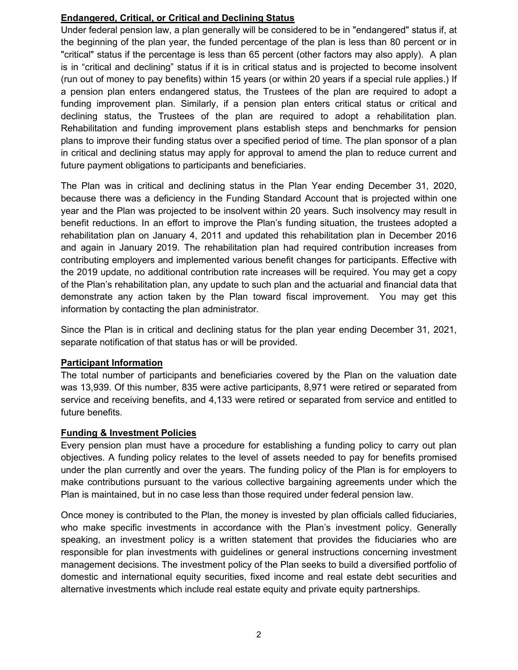### **Endangered, Critical, or Critical and Declining Status**

Under federal pension law, a plan generally will be considered to be in "endangered" status if, at the beginning of the plan year, the funded percentage of the plan is less than 80 percent or in "critical" status if the percentage is less than 65 percent (other factors may also apply). A plan is in "critical and declining" status if it is in critical status and is projected to become insolvent (run out of money to pay benefits) within 15 years (or within 20 years if a special rule applies.) If a pension plan enters endangered status, the Trustees of the plan are required to adopt a funding improvement plan. Similarly, if a pension plan enters critical status or critical and declining status, the Trustees of the plan are required to adopt a rehabilitation plan. Rehabilitation and funding improvement plans establish steps and benchmarks for pension plans to improve their funding status over a specified period of time. The plan sponsor of a plan in critical and declining status may apply for approval to amend the plan to reduce current and future payment obligations to participants and beneficiaries.

The Plan was in critical and declining status in the Plan Year ending December 31, 2020, because there was a deficiency in the Funding Standard Account that is projected within one year and the Plan was projected to be insolvent within 20 years. Such insolvency may result in benefit reductions. In an effort to improve the Plan's funding situation, the trustees adopted a rehabilitation plan on January 4, 2011 and updated this rehabilitation plan in December 2016 and again in January 2019. The rehabilitation plan had required contribution increases from contributing employers and implemented various benefit changes for participants. Effective with the 2019 update, no additional contribution rate increases will be required. You may get a copy of the Plan's rehabilitation plan, any update to such plan and the actuarial and financial data that demonstrate any action taken by the Plan toward fiscal improvement. You may get this information by contacting the plan administrator.

Since the Plan is in critical and declining status for the plan year ending December 31, 2021, separate notification of that status has or will be provided.

# **Participant Information**

The total number of participants and beneficiaries covered by the Plan on the valuation date was 13,939. Of this number, 835 were active participants, 8,971 were retired or separated from service and receiving benefits, and 4,133 were retired or separated from service and entitled to future benefits.

#### **Funding & Investment Policies**

Every pension plan must have a procedure for establishing a funding policy to carry out plan objectives. A funding policy relates to the level of assets needed to pay for benefits promised under the plan currently and over the years. The funding policy of the Plan is for employers to make contributions pursuant to the various collective bargaining agreements under which the Plan is maintained, but in no case less than those required under federal pension law.

Once money is contributed to the Plan, the money is invested by plan officials called fiduciaries, who make specific investments in accordance with the Plan's investment policy. Generally speaking, an investment policy is a written statement that provides the fiduciaries who are responsible for plan investments with guidelines or general instructions concerning investment management decisions. The investment policy of the Plan seeks to build a diversified portfolio of domestic and international equity securities, fixed income and real estate debt securities and alternative investments which include real estate equity and private equity partnerships.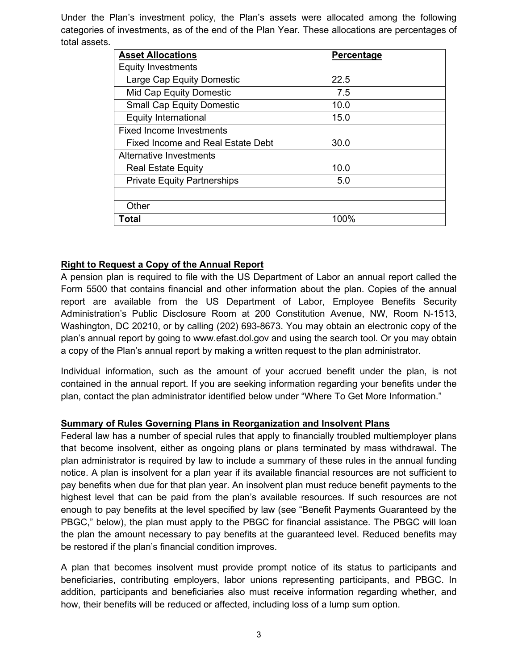Under the Plan's investment policy, the Plan's assets were allocated among the following categories of investments, as of the end of the Plan Year. These allocations are percentages of total assets.

| <b>Asset Allocations</b>           | Percentage |
|------------------------------------|------------|
| <b>Equity Investments</b>          |            |
| Large Cap Equity Domestic          | 22.5       |
| <b>Mid Cap Equity Domestic</b>     | 7.5        |
| <b>Small Cap Equity Domestic</b>   | 10.0       |
| <b>Equity International</b>        | 15.0       |
| <b>Fixed Income Investments</b>    |            |
| Fixed Income and Real Estate Debt  | 30.0       |
| Alternative Investments            |            |
| <b>Real Estate Equity</b>          | 10.0       |
| <b>Private Equity Partnerships</b> | 5.0        |
|                                    |            |
| Other                              |            |
| Total                              | 100%       |

#### **Right to Request a Copy of the Annual Report**

A pension plan is required to file with the US Department of Labor an annual report called the Form 5500 that contains financial and other information about the plan. Copies of the annual report are available from the US Department of Labor, Employee Benefits Security Administration's Public Disclosure Room at 200 Constitution Avenue, NW, Room N-1513, Washington, DC 20210, or by calling (202) 693-8673. You may obtain an electronic copy of the plan's annual report by going to [www.efast.dol.gov](http://www.efast.dol.gov/) and using the search tool. Or you may obtain a copy of the Plan's annual report by making a written request to the plan administrator.

Individual information, such as the amount of your accrued benefit under the plan, is not contained in the annual report. If you are seeking information regarding your benefits under the plan, contact the plan administrator identified below under "Where To Get More Information."

#### **Summary of Rules Governing Plans in Reorganization and Insolvent Plans**

Federal law has a number of special rules that apply to financially troubled multiemployer plans that become insolvent, either as ongoing plans or plans terminated by mass withdrawal. The plan administrator is required by law to include a summary of these rules in the annual funding notice. A plan is insolvent for a plan year if its available financial resources are not sufficient to pay benefits when due for that plan year. An insolvent plan must reduce benefit payments to the highest level that can be paid from the plan's available resources. If such resources are not enough to pay benefits at the level specified by law (see "Benefit Payments Guaranteed by the PBGC," below), the plan must apply to the PBGC for financial assistance. The PBGC will loan the plan the amount necessary to pay benefits at the guaranteed level. Reduced benefits may be restored if the plan's financial condition improves.

A plan that becomes insolvent must provide prompt notice of its status to participants and beneficiaries, contributing employers, labor unions representing participants, and PBGC. In addition, participants and beneficiaries also must receive information regarding whether, and how, their benefits will be reduced or affected, including loss of a lump sum option.